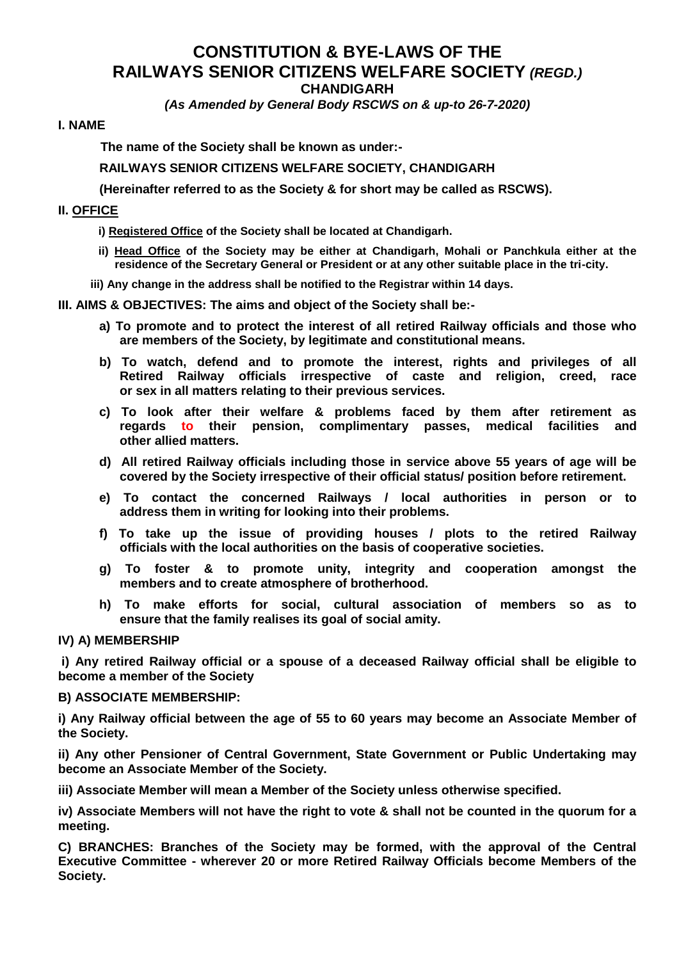# **CONSTITUTION & BYE-LAWS OF THE RAILWAYS SENIOR CITIZENS WELFARE SOCIETY** *(REGD.)* **CHANDIGARH**

*(As Amended by General Body RSCWS on & up-to 26-7-2020)*

# **I. NAME**

**The name of the Society shall be known as under:-**

**RAILWAYS SENIOR CITIZENS WELFARE SOCIETY, CHANDIGARH** 

**(Hereinafter referred to as the Society & for short may be called as RSCWS).**

# **II. OFFICE**

- **i) Registered Office of the Society shall be located at Chandigarh.**
- **ii) Head Office of the Society may be either at Chandigarh, Mohali or Panchkula either at the residence of the Secretary General or President or at any other suitable place in the tri-city.**
- **iii) Any change in the address shall be notified to the Registrar within 14 days.**

**III. AIMS & OBJECTIVES: The aims and object of the Society shall be:-**

- **a) To promote and to protect the interest of all retired Railway officials and those who are members of the Society, by legitimate and constitutional means.**
- **b) To watch, defend and to promote the interest, rights and privileges of all Retired Railway officials irrespective of caste and religion, creed, race or sex in all matters relating to their previous services.**
- **c) To look after their welfare & problems faced by them after retirement as regards to their pension, complimentary passes, medical facilities and other allied matters.**
- **d) All retired Railway officials including those in service above 55 years of age will be covered by the Society irrespective of their official status/ position before retirement.**
- **e) To contact the concerned Railways / local authorities in person or to address them in writing for looking into their problems.**
- **f) To take up the issue of providing houses / plots to the retired Railway officials with the local authorities on the basis of cooperative societies.**
- **g) To foster & to promote unity, integrity and cooperation amongst the members and to create atmosphere of brotherhood.**
- **h) To make efforts for social, cultural association of members so as to ensure that the family realises its goal of social amity.**

# **IV) A) MEMBERSHIP**

**i) Any retired Railway official or a spouse of a deceased Railway official shall be eligible to become a member of the Society** 

# **B) ASSOCIATE MEMBERSHIP:**

**i) Any Railway official between the age of 55 to 60 years may become an Associate Member of the Society.**

**ii) Any other Pensioner of Central Government, State Government or Public Undertaking may become an Associate Member of the Society.**

**iii) Associate Member will mean a Member of the Society unless otherwise specified.**

**iv) Associate Members will not have the right to vote & shall not be counted in the quorum for a meeting.**

**C) BRANCHES: Branches of the Society may be formed, with the approval of the Central Executive Committee - wherever 20 or more Retired Railway Officials become Members of the Society.**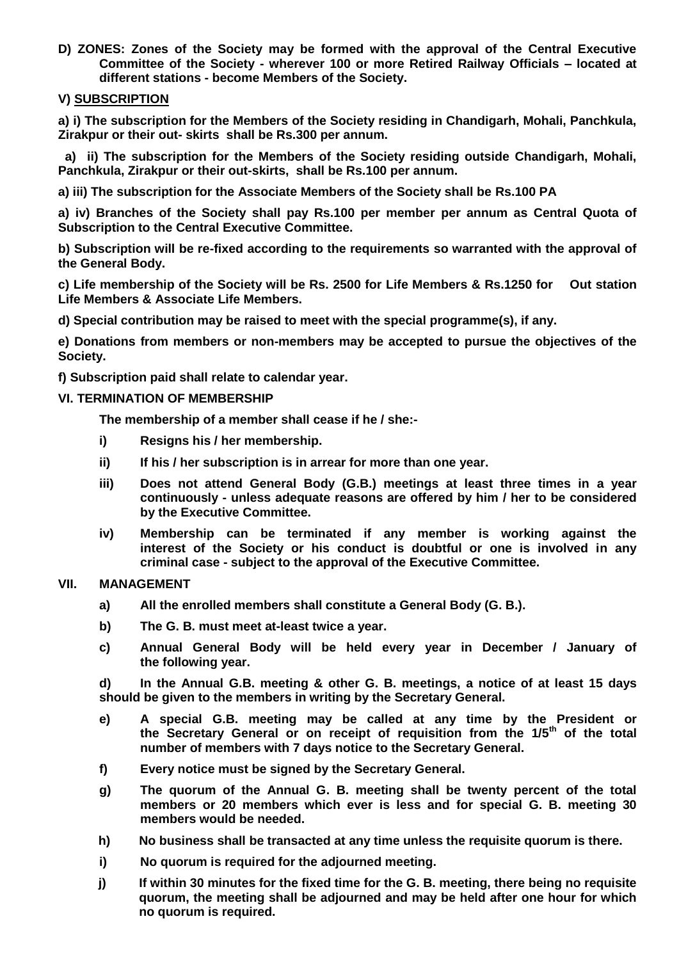**D) ZONES: Zones of the Society may be formed with the approval of the Central Executive Committee of the Society - wherever 100 or more Retired Railway Officials – located at different stations - become Members of the Society.**

# **V) SUBSCRIPTION**

**a) i) The subscription for the Members of the Society residing in Chandigarh, Mohali, Panchkula, Zirakpur or their out- skirts shall be Rs.300 per annum.**

 **a) ii) The subscription for the Members of the Society residing outside Chandigarh, Mohali, Panchkula, Zirakpur or their out-skirts, shall be Rs.100 per annum.**

**a) iii) The subscription for the Associate Members of the Society shall be Rs.100 PA**

**a) iv) Branches of the Society shall pay Rs.100 per member per annum as Central Quota of Subscription to the Central Executive Committee.**

**b) Subscription will be re-fixed according to the requirements so warranted with the approval of the General Body.** 

**c) Life membership of the Society will be Rs. 2500 for Life Members & Rs.1250 for Out station Life Members & Associate Life Members.**

**d) Special contribution may be raised to meet with the special programme(s), if any.** 

**e) Donations from members or non-members may be accepted to pursue the objectives of the Society.**

**f) Subscription paid shall relate to calendar year.**

# **VI. TERMINATION OF MEMBERSHIP**

**The membership of a member shall cease if he / she:-**

- **i) Resigns his / her membership.**
- **ii) If his / her subscription is in arrear for more than one year.**
- **iii) Does not attend General Body (G.B.) meetings at least three times in a year continuously - unless adequate reasons are offered by him / her to be considered by the Executive Committee.**
- **iv) Membership can be terminated if any member is working against the interest of the Society or his conduct is doubtful or one is involved in any criminal case - subject to the approval of the Executive Committee.**

# **VII. MANAGEMENT**

- **a) All the enrolled members shall constitute a General Body (G. B.).**
- **b) The G. B. must meet at-least twice a year.**
- **c) Annual General Body will be held every year in December / January of the following year.**

**d) In the Annual G.B. meeting & other G. B. meetings, a notice of at least 15 days should be given to the members in writing by the Secretary General.** 

- **e) A special G.B. meeting may be called at any time by the President or the Secretary General or on receipt of requisition from the 1/5th of the total number of members with 7 days notice to the Secretary General.**
- **f) Every notice must be signed by the Secretary General.**
- **g) The quorum of the Annual G. B. meeting shall be twenty percent of the total members or 20 members which ever is less and for special G. B. meeting 30 members would be needed.**
- **h) No business shall be transacted at any time unless the requisite quorum is there.**
- **i) No quorum is required for the adjourned meeting.**
- **j) If within 30 minutes for the fixed time for the G. B. meeting, there being no requisite quorum, the meeting shall be adjourned and may be held after one hour for which no quorum is required.**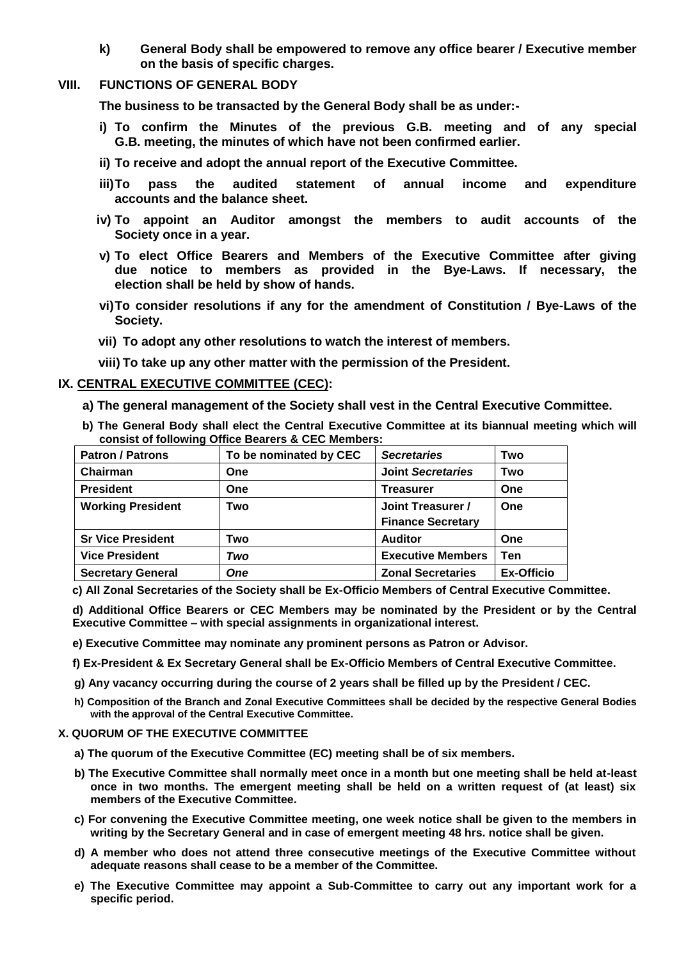**k) General Body shall be empowered to remove any office bearer / Executive member on the basis of specific charges.** 

# **VIII. FUNCTIONS OF GENERAL BODY**

**The business to be transacted by the General Body shall be as under:-**

- **i) To confirm the Minutes of the previous G.B. meeting and of any special G.B. meeting, the minutes of which have not been confirmed earlier.**
- **ii) To receive and adopt the annual report of the Executive Committee.**
- **iii)To pass the audited statement of annual income and expenditure accounts and the balance sheet.**
- **iv) To appoint an Auditor amongst the members to audit accounts of the Society once in a year.**
- **v) To elect Office Bearers and Members of the Executive Committee after giving due notice to members as provided in the Bye-Laws. If necessary, the election shall be held by show of hands.**
- **vi)To consider resolutions if any for the amendment of Constitution / Bye-Laws of the Society.**
- **vii) To adopt any other resolutions to watch the interest of members.**
- **viii) To take up any other matter with the permission of the President.**

## **IX. CENTRAL EXECUTIVE COMMITTEE (CEC):**

**a) The general management of the Society shall vest in the Central Executive Committee.**

**b) The General Body shall elect the Central Executive Committee at its biannual meeting which will consist of following Office Bearers & CEC Members:**

| <b>Patron / Patrons</b>  | To be nominated by CEC | <b>Secretaries</b>       | Two               |
|--------------------------|------------------------|--------------------------|-------------------|
| Chairman                 | One                    | <b>Joint Secretaries</b> | Two               |
| <b>President</b>         | One                    | Treasurer                | One               |
| <b>Working President</b> | Two                    | Joint Treasurer /        | One               |
|                          |                        | <b>Finance Secretary</b> |                   |
| <b>Sr Vice President</b> | Two                    | <b>Auditor</b>           | <b>One</b>        |
| <b>Vice President</b>    | Two                    | <b>Executive Members</b> | Ten               |
| <b>Secretary General</b> | <b>One</b>             | <b>Zonal Secretaries</b> | <b>Ex-Officio</b> |

**c) All Zonal Secretaries of the Society shall be Ex-Officio Members of Central Executive Committee.**

**d) Additional Office Bearers or CEC Members may be nominated by the President or by the Central Executive Committee – with special assignments in organizational interest.**

- **e) Executive Committee may nominate any prominent persons as Patron or Advisor.**
- **f) Ex-President & Ex Secretary General shall be Ex-Officio Members of Central Executive Committee.**
- **g) Any vacancy occurring during the course of 2 years shall be filled up by the President / CEC.**
- **h) Composition of the Branch and Zonal Executive Committees shall be decided by the respective General Bodies with the approval of the Central Executive Committee.**

## **X. QUORUM OF THE EXECUTIVE COMMITTEE**

- **a) The quorum of the Executive Committee (EC) meeting shall be of six members.**
- **b) The Executive Committee shall normally meet once in a month but one meeting shall be held at-least once in two months. The emergent meeting shall be held on a written request of (at least) six members of the Executive Committee.**
- **c) For convening the Executive Committee meeting, one week notice shall be given to the members in writing by the Secretary General and in case of emergent meeting 48 hrs. notice shall be given.**
- **d) A member who does not attend three consecutive meetings of the Executive Committee without adequate reasons shall cease to be a member of the Committee.**
- **e) The Executive Committee may appoint a Sub-Committee to carry out any important work for a specific period.**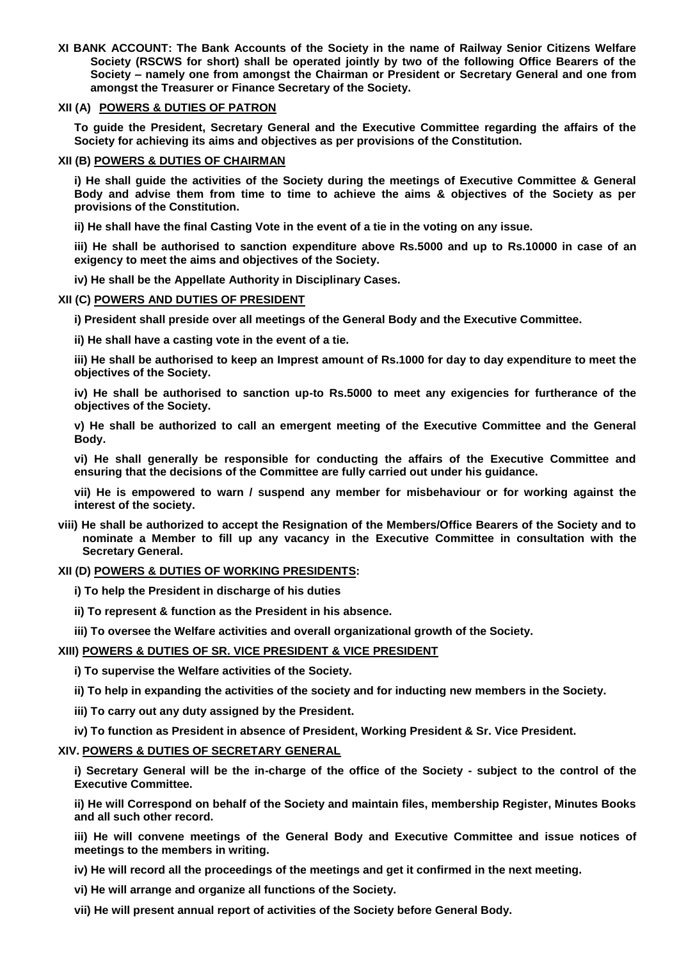**XI BANK ACCOUNT: The Bank Accounts of the Society in the name of Railway Senior Citizens Welfare Society (RSCWS for short) shall be operated jointly by two of the following Office Bearers of the Society – namely one from amongst the Chairman or President or Secretary General and one from amongst the Treasurer or Finance Secretary of the Society.** 

## **XII (A) POWERS & DUTIES OF PATRON**

**To guide the President, Secretary General and the Executive Committee regarding the affairs of the Society for achieving its aims and objectives as per provisions of the Constitution.** 

## **XII (B) POWERS & DUTIES OF CHAIRMAN**

**i) He shall guide the activities of the Society during the meetings of Executive Committee & General Body and advise them from time to time to achieve the aims & objectives of the Society as per provisions of the Constitution.**

**ii) He shall have the final Casting Vote in the event of a tie in the voting on any issue.**

**iii) He shall be authorised to sanction expenditure above Rs.5000 and up to Rs.10000 in case of an exigency to meet the aims and objectives of the Society.**

**iv) He shall be the Appellate Authority in Disciplinary Cases.**

## **XII (C) POWERS AND DUTIES OF PRESIDENT**

**i) President shall preside over all meetings of the General Body and the Executive Committee.** 

**ii) He shall have a casting vote in the event of a tie.** 

**iii) He shall be authorised to keep an Imprest amount of Rs.1000 for day to day expenditure to meet the objectives of the Society.** 

**iv) He shall be authorised to sanction up-to Rs.5000 to meet any exigencies for furtherance of the objectives of the Society.** 

**v) He shall be authorized to call an emergent meeting of the Executive Committee and the General Body.** 

**vi) He shall generally be responsible for conducting the affairs of the Executive Committee and ensuring that the decisions of the Committee are fully carried out under his guidance.** 

**vii) He is empowered to warn / suspend any member for misbehaviour or for working against the interest of the society.**

**viii) He shall be authorized to accept the Resignation of the Members/Office Bearers of the Society and to nominate a Member to fill up any vacancy in the Executive Committee in consultation with the Secretary General.**

## **XII (D) POWERS & DUTIES OF WORKING PRESIDENTS:**

**i) To help the President in discharge of his duties** 

**ii) To represent & function as the President in his absence.**

**iii) To oversee the Welfare activities and overall organizational growth of the Society.**

# **XIII) POWERS & DUTIES OF SR. VICE PRESIDENT & VICE PRESIDENT**

**i) To supervise the Welfare activities of the Society.**

- **ii) To help in expanding the activities of the society and for inducting new members in the Society.**
- **iii) To carry out any duty assigned by the President.**
- **iv) To function as President in absence of President, Working President & Sr. Vice President.**

# **XIV. POWERS & DUTIES OF SECRETARY GENERAL**

**i) Secretary General will be the in-charge of the office of the Society - subject to the control of the Executive Committee.** 

**ii) He will Correspond on behalf of the Society and maintain files, membership Register, Minutes Books and all such other record.** 

**iii) He will convene meetings of the General Body and Executive Committee and issue notices of meetings to the members in writing.** 

**iv) He will record all the proceedings of the meetings and get it confirmed in the next meeting.** 

**vi) He will arrange and organize all functions of the Society.** 

**vii) He will present annual report of activities of the Society before General Body.**